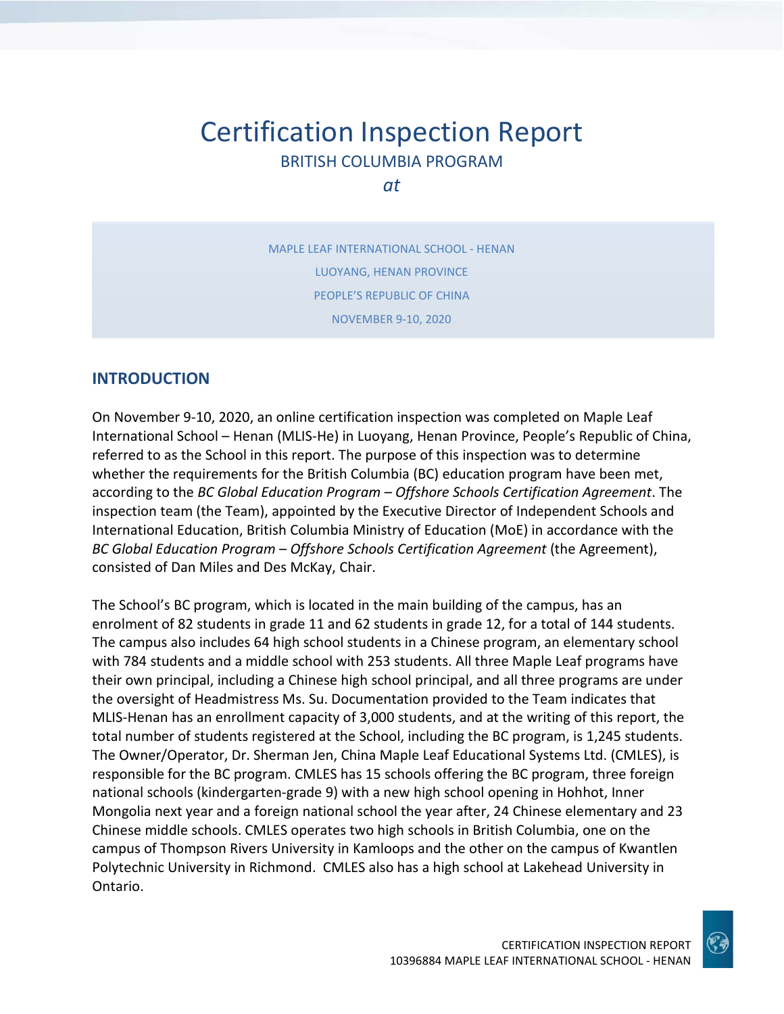# Certification Inspection Report BRITISH COLUMBIA PROGRAM

*at*

MAPLE LEAF INTERNATIONAL SCHOOL - HENAN LUOYANG, HENAN PROVINCE PEOPLE'S REPUBLIC OF CHINA NOVEMBER 9-10, 2020

# **INTRODUCTION**

On November 9-10, 2020, an online certification inspection was completed on Maple Leaf International School – Henan (MLIS-He) in Luoyang, Henan Province, People's Republic of China, referred to as the School in this report. The purpose of this inspection was to determine whether the requirements for the British Columbia (BC) education program have been met, according to the *BC Global Education Program – Offshore Schools Certification Agreement*. The inspection team (the Team), appointed by the Executive Director of Independent Schools and International Education, British Columbia Ministry of Education (MoE) in accordance with the *BC Global Education Program – Offshore Schools Certification Agreement* (the Agreement), consisted of Dan Miles and Des McKay, Chair.

The School's BC program, which is located in the main building of the campus, has an enrolment of 82 students in grade 11 and 62 students in grade 12, for a total of 144 students. The campus also includes 64 high school students in a Chinese program, an elementary school with 784 students and a middle school with 253 students. All three Maple Leaf programs have their own principal, including a Chinese high school principal, and all three programs are under the oversight of Headmistress Ms. Su. Documentation provided to the Team indicates that MLIS-Henan has an enrollment capacity of 3,000 students, and at the writing of this report, the total number of students registered at the School, including the BC program, is 1,245 students. The Owner/Operator, Dr. Sherman Jen, China Maple Leaf Educational Systems Ltd. (CMLES), is responsible for the BC program. CMLES has 15 schools offering the BC program, three foreign national schools (kindergarten-grade 9) with a new high school opening in Hohhot, Inner Mongolia next year and a foreign national school the year after, 24 Chinese elementary and 23 Chinese middle schools. CMLES operates two high schools in British Columbia, one on the campus of Thompson Rivers University in Kamloops and the other on the campus of Kwantlen Polytechnic University in Richmond. CMLES also has a high school at Lakehead University in Ontario.

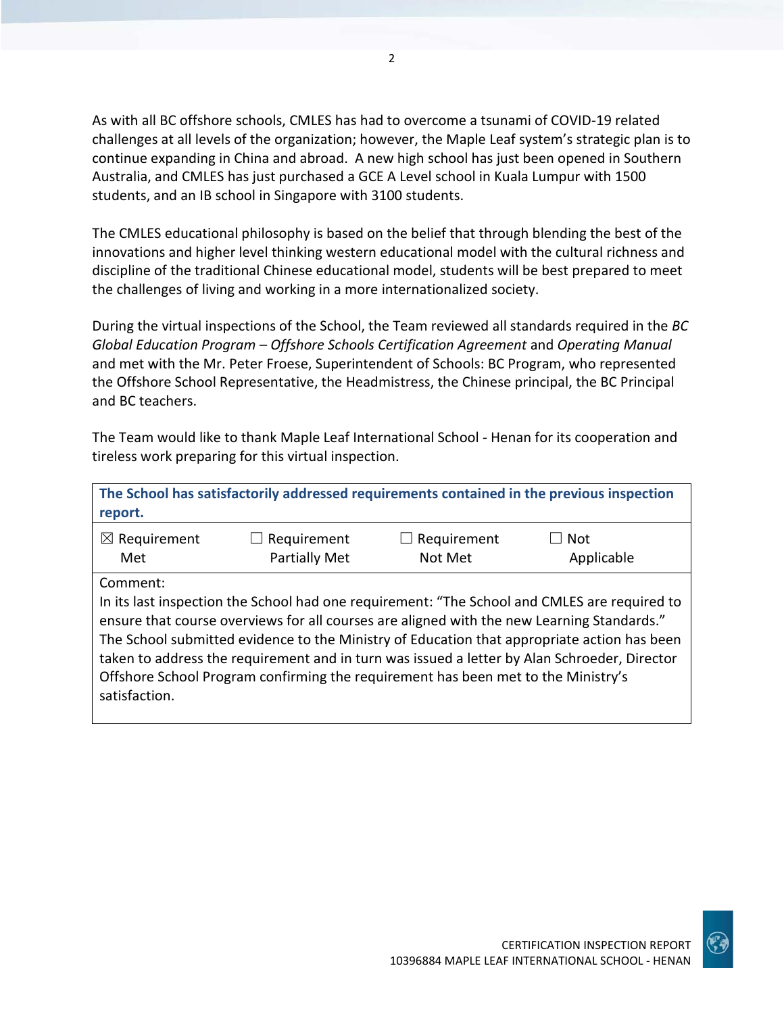As with all BC offshore schools, CMLES has had to overcome a tsunami of COVID-19 related challenges at all levels of the organization; however, the Maple Leaf system's strategic plan is to continue expanding in China and abroad. A new high school has just been opened in Southern Australia, and CMLES has just purchased a GCE A Level school in Kuala Lumpur with 1500 students, and an IB school in Singapore with 3100 students.

The CMLES educational philosophy is based on the belief that through blending the best of the innovations and higher level thinking western educational model with the cultural richness and discipline of the traditional Chinese educational model, students will be best prepared to meet the challenges of living and working in a more internationalized society.

During the virtual inspections of the School, the Team reviewed all standards required in the *BC Global Education Program – Offshore Schools Certification Agreement* and *Operating Manual*  and met with the Mr. Peter Froese, Superintendent of Schools: BC Program, who represented the Offshore School Representative, the Headmistress, the Chinese principal, the BC Principal and BC teachers.

The Team would like to thank Maple Leaf International School - Henan for its cooperation and tireless work preparing for this virtual inspection.

| The School has satisfactorily addressed requirements contained in the previous inspection<br>report. |                                                                                                                                                                                 |                                                    |                                                                                                                                                                                                                                                                                             |
|------------------------------------------------------------------------------------------------------|---------------------------------------------------------------------------------------------------------------------------------------------------------------------------------|----------------------------------------------------|---------------------------------------------------------------------------------------------------------------------------------------------------------------------------------------------------------------------------------------------------------------------------------------------|
| $\boxtimes$ Requirement<br>Met                                                                       | Requirement<br><b>Partially Met</b>                                                                                                                                             | Requirement<br>$\overline{\phantom{a}}$<br>Not Met | Not<br>Applicable                                                                                                                                                                                                                                                                           |
| Comment:<br>satisfaction.                                                                            | ensure that course overviews for all courses are aligned with the new Learning Standards."<br>Offshore School Program confirming the requirement has been met to the Ministry's |                                                    | In its last inspection the School had one requirement: "The School and CMLES are required to<br>The School submitted evidence to the Ministry of Education that appropriate action has been<br>taken to address the requirement and in turn was issued a letter by Alan Schroeder, Director |

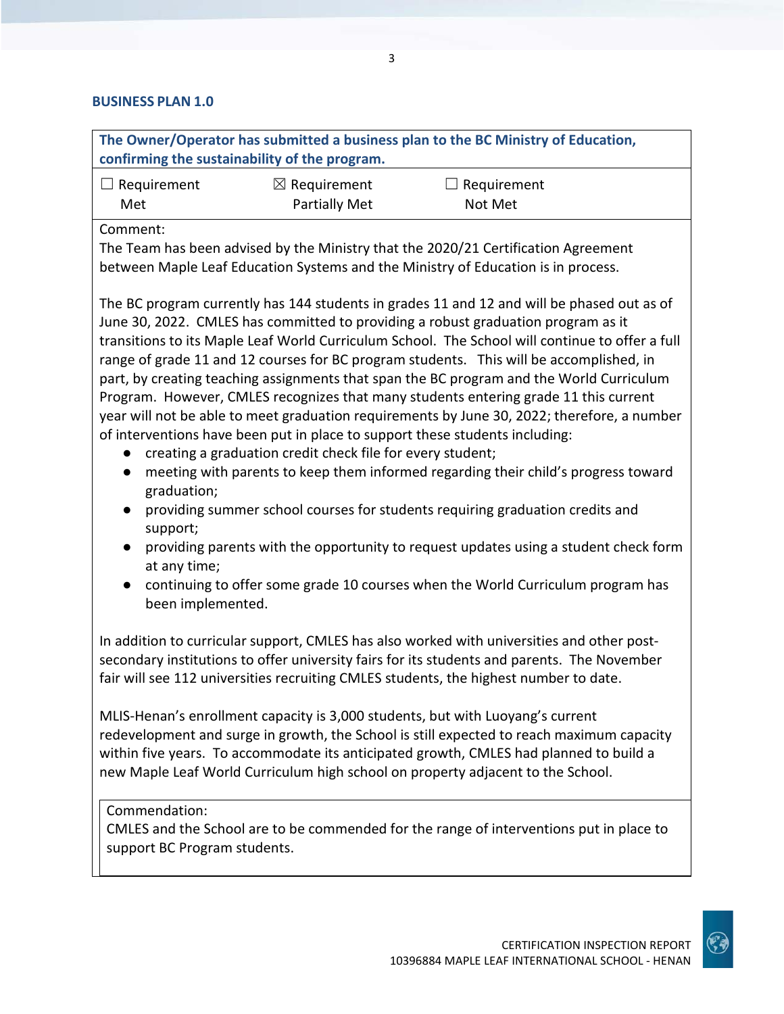# **BUSINESS PLAN 1.0**

| confirming the sustainability of the program.                                                                                                                                                                                                                                                                                                                                                                                                                                                                                                                                                                                                                                                                                                                                                                                                                                                                                                                                                                                                                                                                                                                                                                                                                                        |                                          | The Owner/Operator has submitted a business plan to the BC Ministry of Education,                                                                                                                                                                                                                                                                        |  |
|--------------------------------------------------------------------------------------------------------------------------------------------------------------------------------------------------------------------------------------------------------------------------------------------------------------------------------------------------------------------------------------------------------------------------------------------------------------------------------------------------------------------------------------------------------------------------------------------------------------------------------------------------------------------------------------------------------------------------------------------------------------------------------------------------------------------------------------------------------------------------------------------------------------------------------------------------------------------------------------------------------------------------------------------------------------------------------------------------------------------------------------------------------------------------------------------------------------------------------------------------------------------------------------|------------------------------------------|----------------------------------------------------------------------------------------------------------------------------------------------------------------------------------------------------------------------------------------------------------------------------------------------------------------------------------------------------------|--|
| $\Box$ Requirement<br>Met                                                                                                                                                                                                                                                                                                                                                                                                                                                                                                                                                                                                                                                                                                                                                                                                                                                                                                                                                                                                                                                                                                                                                                                                                                                            | $\boxtimes$ Requirement<br>Partially Met | $\Box$ Requirement<br>Not Met                                                                                                                                                                                                                                                                                                                            |  |
| Comment:                                                                                                                                                                                                                                                                                                                                                                                                                                                                                                                                                                                                                                                                                                                                                                                                                                                                                                                                                                                                                                                                                                                                                                                                                                                                             |                                          | The Team has been advised by the Ministry that the 2020/21 Certification Agreement<br>between Maple Leaf Education Systems and the Ministry of Education is in process.                                                                                                                                                                                  |  |
| The BC program currently has 144 students in grades 11 and 12 and will be phased out as of<br>June 30, 2022. CMLES has committed to providing a robust graduation program as it<br>transitions to its Maple Leaf World Curriculum School. The School will continue to offer a full<br>range of grade 11 and 12 courses for BC program students. This will be accomplished, in<br>part, by creating teaching assignments that span the BC program and the World Curriculum<br>Program. However, CMLES recognizes that many students entering grade 11 this current<br>year will not be able to meet graduation requirements by June 30, 2022; therefore, a number<br>of interventions have been put in place to support these students including:<br>creating a graduation credit check file for every student;<br>$\bullet$<br>meeting with parents to keep them informed regarding their child's progress toward<br>$\bullet$<br>graduation;<br>providing summer school courses for students requiring graduation credits and<br>$\bullet$<br>support;<br>providing parents with the opportunity to request updates using a student check form<br>at any time;<br>continuing to offer some grade 10 courses when the World Curriculum program has<br>$\bullet$<br>been implemented. |                                          |                                                                                                                                                                                                                                                                                                                                                          |  |
|                                                                                                                                                                                                                                                                                                                                                                                                                                                                                                                                                                                                                                                                                                                                                                                                                                                                                                                                                                                                                                                                                                                                                                                                                                                                                      |                                          | In addition to curricular support, CMLES has also worked with universities and other post-<br>secondary institutions to offer university fairs for its students and parents. The November<br>fair will see 112 universities recruiting CMLES students, the highest number to date.                                                                       |  |
|                                                                                                                                                                                                                                                                                                                                                                                                                                                                                                                                                                                                                                                                                                                                                                                                                                                                                                                                                                                                                                                                                                                                                                                                                                                                                      |                                          | MLIS-Henan's enrollment capacity is 3,000 students, but with Luoyang's current<br>redevelopment and surge in growth, the School is still expected to reach maximum capacity<br>within five years. To accommodate its anticipated growth, CMLES had planned to build a<br>new Maple Leaf World Curriculum high school on property adjacent to the School. |  |
| Commendation:<br>support BC Program students.                                                                                                                                                                                                                                                                                                                                                                                                                                                                                                                                                                                                                                                                                                                                                                                                                                                                                                                                                                                                                                                                                                                                                                                                                                        |                                          | CMLES and the School are to be commended for the range of interventions put in place to                                                                                                                                                                                                                                                                  |  |

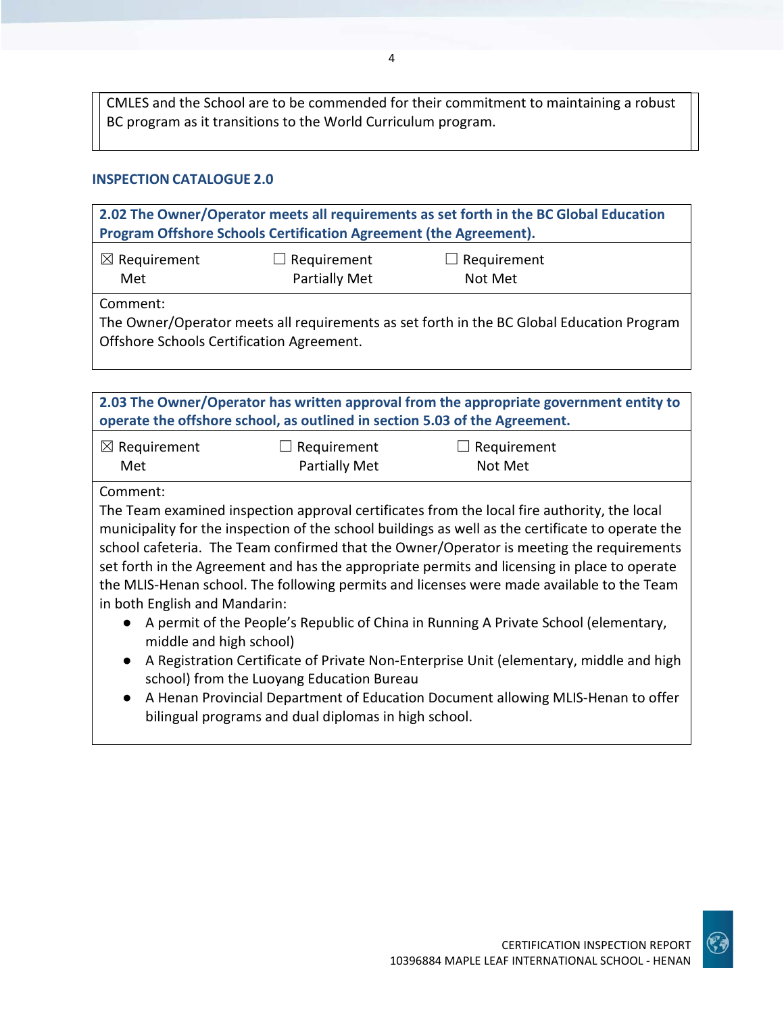CMLES and the School are to be commended for their commitment to maintaining a robust BC program as it transitions to the World Curriculum program.

4

#### **INSPECTION CATALOGUE 2.0**

| 2.02 The Owner/Operator meets all requirements as set forth in the BC Global Education<br>Program Offshore Schools Certification Agreement (the Agreement). |  |  |  |  |
|-------------------------------------------------------------------------------------------------------------------------------------------------------------|--|--|--|--|
| $\boxtimes$ Requirement<br>$\Box$ Requirement<br>$\Box$ Requirement<br>Partially Met<br>Not Met<br>Met                                                      |  |  |  |  |
| Comment:<br>The Owner/Operator meets all requirements as set forth in the BC Global Education Program<br>Offshore Schools Certification Agreement.          |  |  |  |  |

**2.03 The Owner/Operator has written approval from the appropriate government entity to operate the offshore school, as outlined in section 5.03 of the Agreement.** ☒ Requirement Met  $\Box$  Requirement Partially Met  $\Box$  Requirement Not Met

#### Comment:

The Team examined inspection approval certificates from the local fire authority, the local municipality for the inspection of the school buildings as well as the certificate to operate the school cafeteria. The Team confirmed that the Owner/Operator is meeting the requirements set forth in the Agreement and has the appropriate permits and licensing in place to operate the MLIS-Henan school. The following permits and licenses were made available to the Team in both English and Mandarin:

- A permit of the People's Republic of China in Running A Private School (elementary, middle and high school)
- A Registration Certificate of Private Non-Enterprise Unit (elementary, middle and high school) from the Luoyang Education Bureau
- A Henan Provincial Department of Education Document allowing MLIS-Henan to offer bilingual programs and dual diplomas in high school.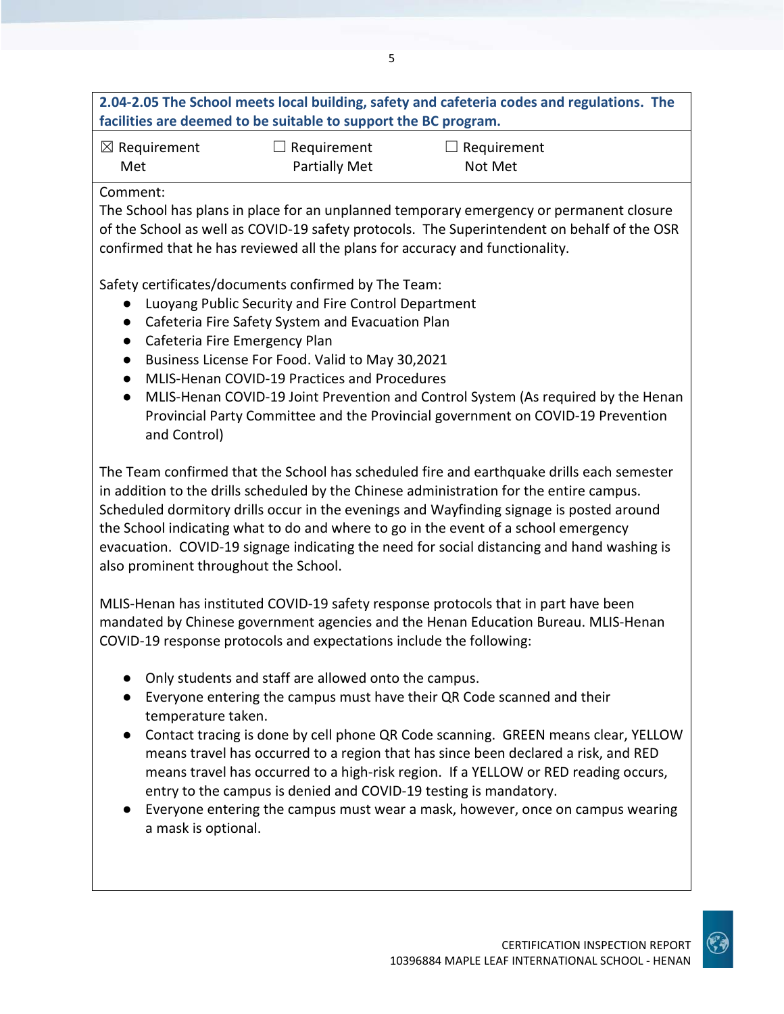# **2.04-2.05 The School meets local building, safety and cafeteria codes and regulations. The facilities are deemed to be suitable to support the BC program.**

| $\boxtimes$ Requirement |  |
|-------------------------|--|
| Met                     |  |

☐ Requirement Partially Met

 $\Box$  Requirement Not Met

# Comment:

The School has plans in place for an unplanned temporary emergency or permanent closure of the School as well as COVID-19 safety protocols. The Superintendent on behalf of the OSR confirmed that he has reviewed all the plans for accuracy and functionality.

Safety certificates/documents confirmed by The Team:

- Luoyang Public Security and Fire Control Department
- Cafeteria Fire Safety System and Evacuation Plan
- Cafeteria Fire Emergency Plan
- Business License For Food. Valid to May 30,2021
- MLIS-Henan COVID-19 Practices and Procedures
- MLIS-Henan COVID-19 Joint Prevention and Control System (As required by the Henan Provincial Party Committee and the Provincial government on COVID-19 Prevention and Control)

The Team confirmed that the School has scheduled fire and earthquake drills each semester in addition to the drills scheduled by the Chinese administration for the entire campus. Scheduled dormitory drills occur in the evenings and Wayfinding signage is posted around the School indicating what to do and where to go in the event of a school emergency evacuation. COVID-19 signage indicating the need for social distancing and hand washing is also prominent throughout the School.

MLIS-Henan has instituted COVID-19 safety response protocols that in part have been mandated by Chinese government agencies and the Henan Education Bureau. MLIS-Henan COVID-19 response protocols and expectations include the following:

- Only students and staff are allowed onto the campus.
- Everyone entering the campus must have their QR Code scanned and their temperature taken.
- Contact tracing is done by cell phone QR Code scanning. GREEN means clear, YELLOW means travel has occurred to a region that has since been declared a risk, and RED means travel has occurred to a high-risk region. If a YELLOW or RED reading occurs, entry to the campus is denied and COVID-19 testing is mandatory.
- Everyone entering the campus must wear a mask, however, once on campus wearing a mask is optional.

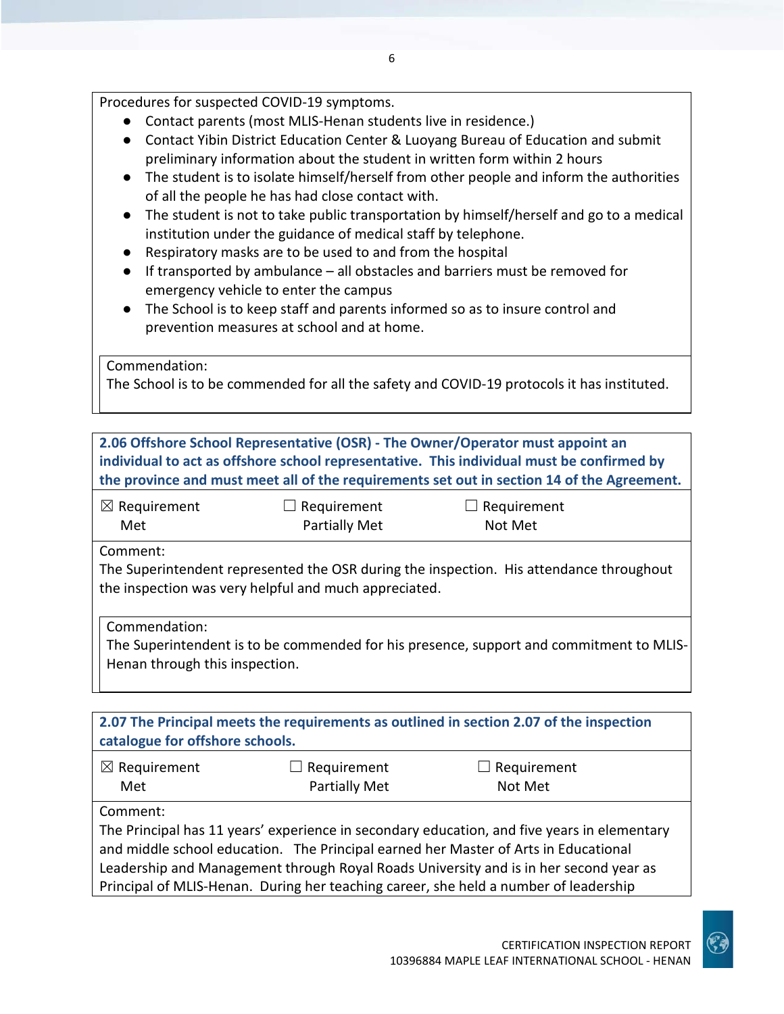Procedures for suspected COVID-19 symptoms.

- Contact parents (most MLIS-Henan students live in residence.)
- Contact Yibin District Education Center & Luoyang Bureau of Education and submit preliminary information about the student in written form within 2 hours
- The student is to isolate himself/herself from other people and inform the authorities of all the people he has had close contact with.
- The student is not to take public transportation by himself/herself and go to a medical institution under the guidance of medical staff by telephone.
- Respiratory masks are to be used to and from the hospital
- If transported by ambulance all obstacles and barriers must be removed for emergency vehicle to enter the campus
- The School is to keep staff and parents informed so as to insure control and prevention measures at school and at home.

Commendation:

The School is to be commended for all the safety and COVID-19 protocols it has instituted.

|                                                 |                                                       | 2.06 Offshore School Representative (OSR) - The Owner/Operator must appoint an<br>individual to act as offshore school representative. This individual must be confirmed by<br>the province and must meet all of the requirements set out in section 14 of the Agreement.                                                                                           |  |
|-------------------------------------------------|-------------------------------------------------------|---------------------------------------------------------------------------------------------------------------------------------------------------------------------------------------------------------------------------------------------------------------------------------------------------------------------------------------------------------------------|--|
| $\boxtimes$ Requirement<br>Met                  | $\Box$ Requirement<br>Partially Met                   | Requirement<br>Not Met                                                                                                                                                                                                                                                                                                                                              |  |
| Comment:                                        | the inspection was very helpful and much appreciated. | The Superintendent represented the OSR during the inspection. His attendance throughout                                                                                                                                                                                                                                                                             |  |
| Commendation:<br>Henan through this inspection. |                                                       | The Superintendent is to be commended for his presence, support and commitment to MLIS-                                                                                                                                                                                                                                                                             |  |
| catalogue for offshore schools.                 |                                                       | 2.07 The Principal meets the requirements as outlined in section 2.07 of the inspection                                                                                                                                                                                                                                                                             |  |
| $\boxtimes$ Requirement<br>Met                  | Requirement<br>Partially Met                          | Requirement<br>Not Met                                                                                                                                                                                                                                                                                                                                              |  |
| Comment:                                        |                                                       | The Principal has 11 years' experience in secondary education, and five years in elementary<br>and middle school education. The Principal earned her Master of Arts in Educational<br>Leadership and Management through Royal Roads University and is in her second year as<br>Principal of MLIS-Henan. During her teaching career, she held a number of leadership |  |

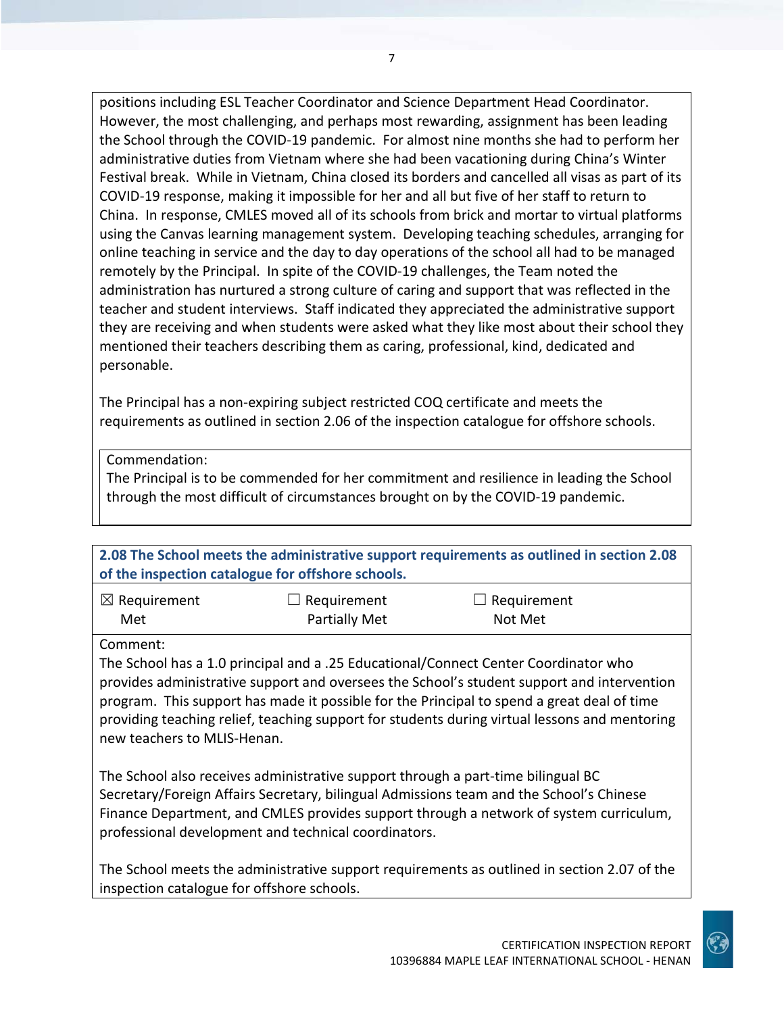positions including ESL Teacher Coordinator and Science Department Head Coordinator. However, the most challenging, and perhaps most rewarding, assignment has been leading the School through the COVID-19 pandemic. For almost nine months she had to perform her administrative duties from Vietnam where she had been vacationing during China's Winter Festival break. While in Vietnam, China closed its borders and cancelled all visas as part of its COVID-19 response, making it impossible for her and all but five of her staff to return to China. In response, CMLES moved all of its schools from brick and mortar to virtual platforms using the Canvas learning management system. Developing teaching schedules, arranging for online teaching in service and the day to day operations of the school all had to be managed remotely by the Principal. In spite of the COVID-19 challenges, the Team noted the administration has nurtured a strong culture of caring and support that was reflected in the teacher and student interviews. Staff indicated they appreciated the administrative support they are receiving and when students were asked what they like most about their school they mentioned their teachers describing them as caring, professional, kind, dedicated and personable.

The Principal has a non-expiring subject restricted COQ certificate and meets the requirements as outlined in section 2.06 of the inspection catalogue for offshore schools.

Commendation:

The Principal is to be commended for her commitment and resilience in leading the School through the most difficult of circumstances brought on by the COVID-19 pandemic.

**2.08 The School meets the administrative support requirements as outlined in section 2.08 of the inspection catalogue for offshore schools.** ☒ Requirement  $\Box$  Requirement  $\Box$  Requirement

Met

Partially Met

Not Met

Comment:

The School has a 1.0 principal and a .25 Educational/Connect Center Coordinator who provides administrative support and oversees the School's student support and intervention program. This support has made it possible for the Principal to spend a great deal of time providing teaching relief, teaching support for students during virtual lessons and mentoring new teachers to MLIS-Henan.

The School also receives administrative support through a part-time bilingual BC Secretary/Foreign Affairs Secretary, bilingual Admissions team and the School's Chinese Finance Department, and CMLES provides support through a network of system curriculum, professional development and technical coordinators.

The School meets the administrative support requirements as outlined in section 2.07 of the inspection catalogue for offshore schools.

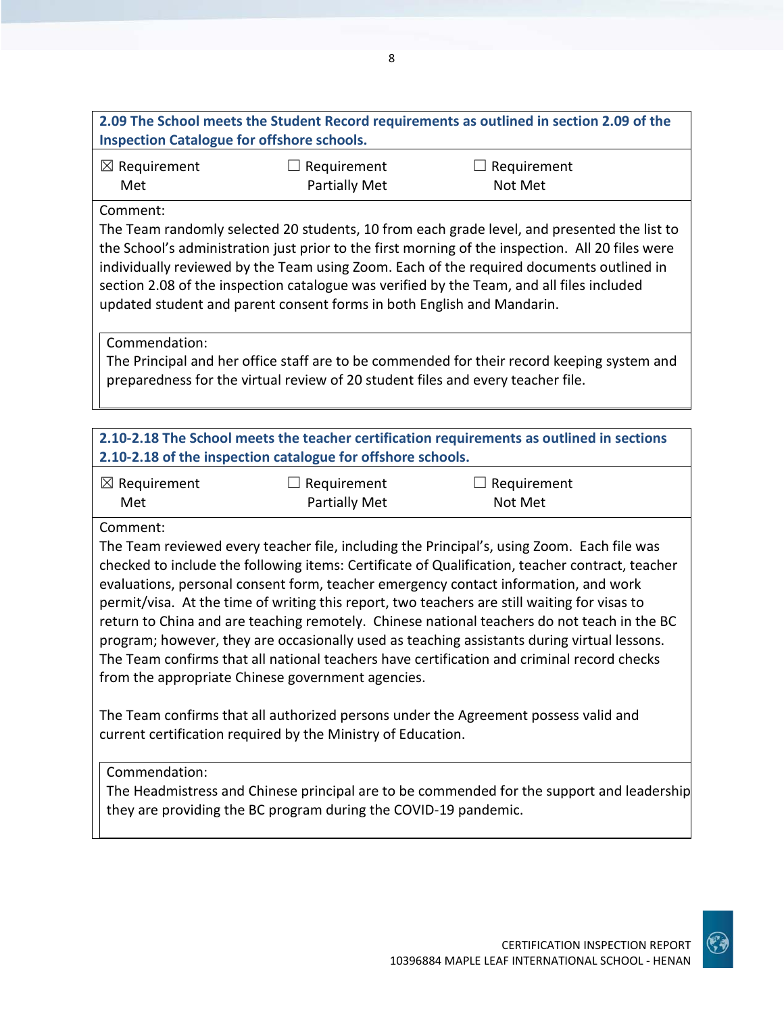| 2.09 The School meets the Student Record requirements as outlined in section 2.09 of the |             |             |  |
|------------------------------------------------------------------------------------------|-------------|-------------|--|
| <b>Inspection Catalogue for offshore schools.</b>                                        |             |             |  |
| $\boxtimes$ Requirement                                                                  | Requirement | Requirement |  |

| $\boxtimes$ Requirement | $\Box$ Requirement   | $\Box$ Requirement |  |
|-------------------------|----------------------|--------------------|--|
| Met                     | <b>Partially Met</b> | Not Met            |  |

#### Comment:

The Team randomly selected 20 students, 10 from each grade level, and presented the list to the School's administration just prior to the first morning of the inspection. All 20 files were individually reviewed by the Team using Zoom. Each of the required documents outlined in section 2.08 of the inspection catalogue was verified by the Team, and all files included updated student and parent consent forms in both English and Mandarin.

Commendation:

The Principal and her office staff are to be commended for their record keeping system and preparedness for the virtual review of 20 student files and every teacher file.

# **2.10-2.18 The School meets the teacher certification requirements as outlined in sections 2.10-2.18 of the inspection catalogue for offshore schools.**

| $\boxtimes$ Requirement | $\Box$ Requirement   | $\Box$ Requirement |
|-------------------------|----------------------|--------------------|
| Met                     | <b>Partially Met</b> | Not Met            |

Comment:

The Team reviewed every teacher file, including the Principal's, using Zoom. Each file was checked to include the following items: Certificate of Qualification, teacher contract, teacher evaluations, personal consent form, teacher emergency contact information, and work permit/visa. At the time of writing this report, two teachers are still waiting for visas to return to China and are teaching remotely. Chinese national teachers do not teach in the BC program; however, they are occasionally used as teaching assistants during virtual lessons. The Team confirms that all national teachers have certification and criminal record checks from the appropriate Chinese government agencies.

The Team confirms that all authorized persons under the Agreement possess valid and current certification required by the Ministry of Education.

#### Commendation:

The Headmistress and Chinese principal are to be commended for the support and leadership they are providing the BC program during the COVID-19 pandemic.

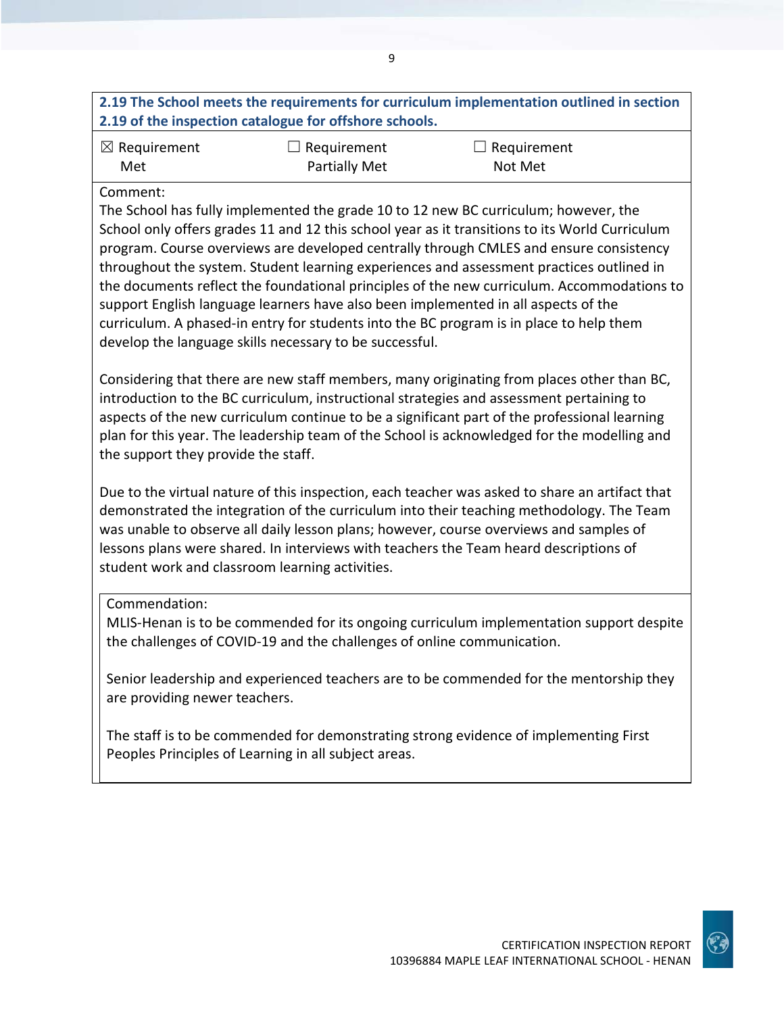# **2.19 The School meets the requirements for curriculum implementation outlined in section 2.19 of the inspection catalogue for offshore schools.**

9

| $\boxtimes$ Requirement | $\Box$ Requirement   | $\Box$ Requirement |
|-------------------------|----------------------|--------------------|
| Met                     | <b>Partially Met</b> | Not Met            |

#### Comment:

The School has fully implemented the grade 10 to 12 new BC curriculum; however, the School only offers grades 11 and 12 this school year as it transitions to its World Curriculum program. Course overviews are developed centrally through CMLES and ensure consistency throughout the system. Student learning experiences and assessment practices outlined in the documents reflect the foundational principles of the new curriculum. Accommodations to support English language learners have also been implemented in all aspects of the curriculum. A phased-in entry for students into the BC program is in place to help them develop the language skills necessary to be successful.

Considering that there are new staff members, many originating from places other than BC, introduction to the BC curriculum, instructional strategies and assessment pertaining to aspects of the new curriculum continue to be a significant part of the professional learning plan for this year. The leadership team of the School is acknowledged for the modelling and the support they provide the staff.

Due to the virtual nature of this inspection, each teacher was asked to share an artifact that demonstrated the integration of the curriculum into their teaching methodology. The Team was unable to observe all daily lesson plans; however, course overviews and samples of lessons plans were shared. In interviews with teachers the Team heard descriptions of student work and classroom learning activities.

#### Commendation:

MLIS-Henan is to be commended for its ongoing curriculum implementation support despite the challenges of COVID-19 and the challenges of online communication.

Senior leadership and experienced teachers are to be commended for the mentorship they are providing newer teachers.

The staff is to be commended for demonstrating strong evidence of implementing First Peoples Principles of Learning in all subject areas.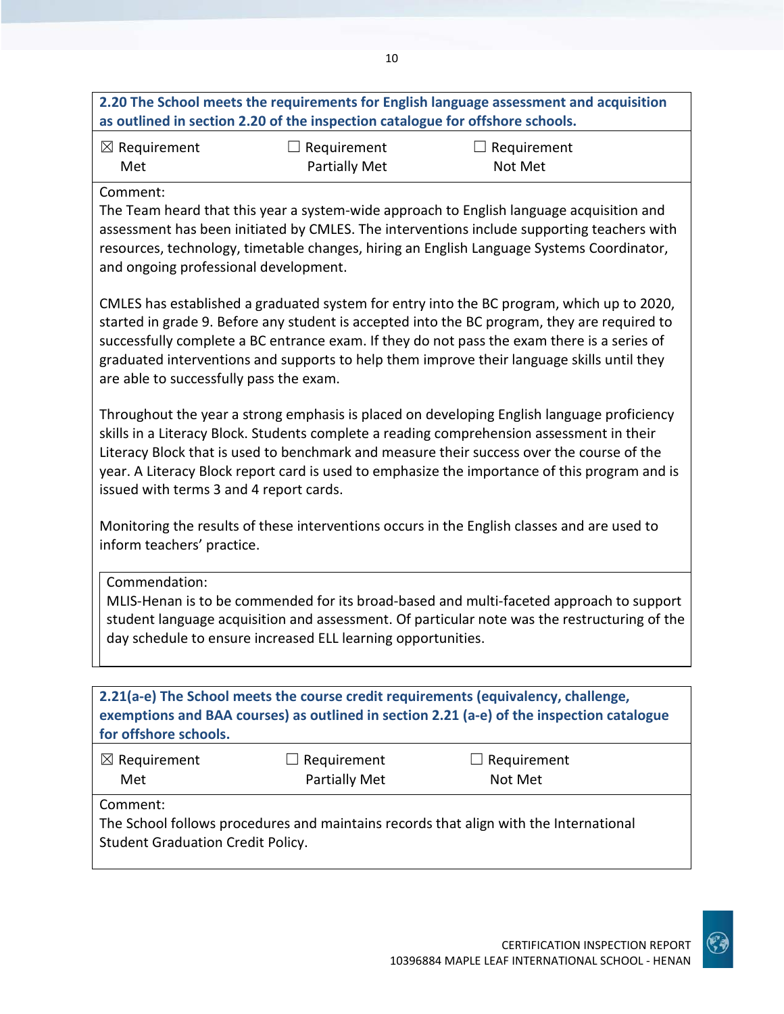| 2.20 The School meets the requirements for English language assessment and acquisition<br>as outlined in section 2.20 of the inspection catalogue for offshore schools. |                                     |                                                                                          |  |
|-------------------------------------------------------------------------------------------------------------------------------------------------------------------------|-------------------------------------|------------------------------------------------------------------------------------------|--|
| $\boxtimes$ Requirement<br>Met                                                                                                                                          | $\Box$ Requirement<br>Partially Met | $\Box$ Requirement<br>Not Met                                                            |  |
| Comment:                                                                                                                                                                |                                     | The Team heard that this year a system-wide approach to English language acquisition and |  |

The Team heard that this year a system-wide approach to English language acquisition and assessment has been initiated by CMLES. The interventions include supporting teachers with resources, technology, timetable changes, hiring an English Language Systems Coordinator, and ongoing professional development.

CMLES has established a graduated system for entry into the BC program, which up to 2020, started in grade 9. Before any student is accepted into the BC program, they are required to successfully complete a BC entrance exam. If they do not pass the exam there is a series of graduated interventions and supports to help them improve their language skills until they are able to successfully pass the exam.

Throughout the year a strong emphasis is placed on developing English language proficiency skills in a Literacy Block. Students complete a reading comprehension assessment in their Literacy Block that is used to benchmark and measure their success over the course of the year. A Literacy Block report card is used to emphasize the importance of this program and is issued with terms 3 and 4 report cards.

Monitoring the results of these interventions occurs in the English classes and are used to inform teachers' practice.

Commendation:

MLIS-Henan is to be commended for its broad-based and multi-faceted approach to support student language acquisition and assessment. Of particular note was the restructuring of the day schedule to ensure increased ELL learning opportunities.

| for offshore schools.                                                                                                                         |                                     | 2.21(a-e) The School meets the course credit requirements (equivalency, challenge,<br>exemptions and BAA courses) as outlined in section 2.21 (a-e) of the inspection catalogue |  |
|-----------------------------------------------------------------------------------------------------------------------------------------------|-------------------------------------|---------------------------------------------------------------------------------------------------------------------------------------------------------------------------------|--|
| $\boxtimes$ Requirement<br>Met                                                                                                                | Requirement<br><b>Partially Met</b> | $\Box$ Requirement<br>Not Met                                                                                                                                                   |  |
| Comment:<br>The School follows procedures and maintains records that align with the International<br><b>Student Graduation Credit Policy.</b> |                                     |                                                                                                                                                                                 |  |

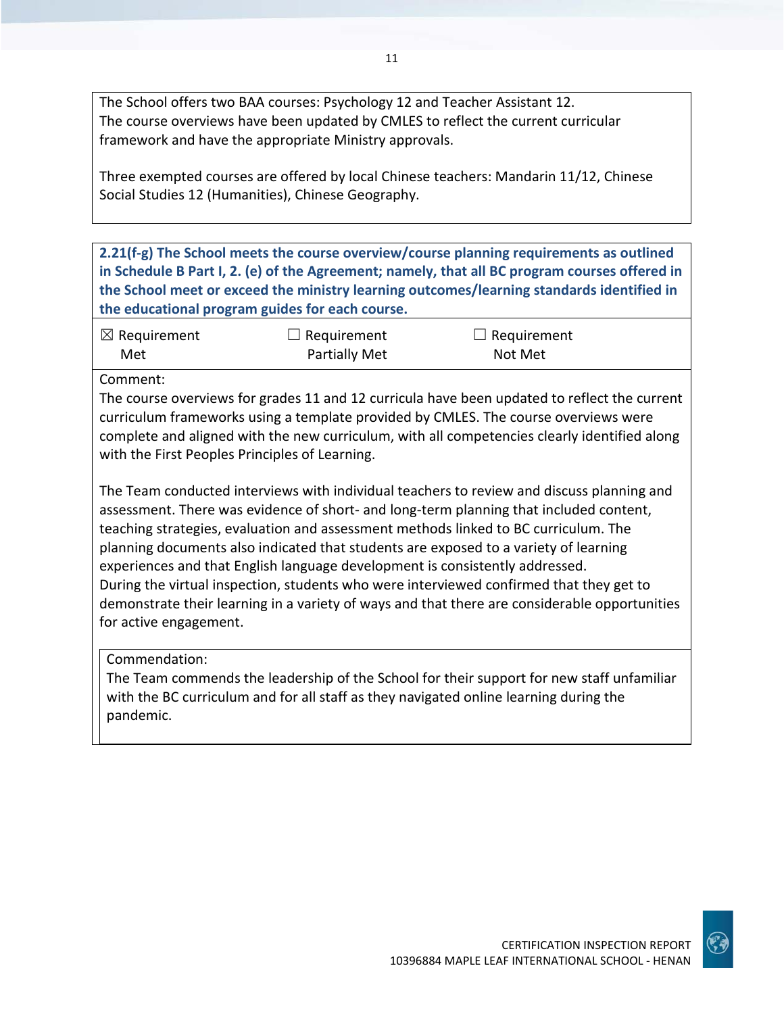The School offers two BAA courses: Psychology 12 and Teacher Assistant 12. The course overviews have been updated by CMLES to reflect the current curricular framework and have the appropriate Ministry approvals.

Three exempted courses are offered by local Chinese teachers: Mandarin 11/12, Chinese Social Studies 12 (Humanities), Chinese Geography.

**2.21(f-g) The School meets the course overview/course planning requirements as outlined in Schedule B Part I, 2. (e) of the Agreement; namely, that all BC program courses offered in the School meet or exceed the ministry learning outcomes/learning standards identified in the educational program guides for each course.**

| $\boxtimes$ Requirement | $\Box$ Requirement   | $\Box$ Requirement |
|-------------------------|----------------------|--------------------|
| Met                     | <b>Partially Met</b> | Not Met            |

Comment:

The course overviews for grades 11 and 12 curricula have been updated to reflect the current curriculum frameworks using a template provided by CMLES. The course overviews were complete and aligned with the new curriculum, with all competencies clearly identified along with the First Peoples Principles of Learning.

The Team conducted interviews with individual teachers to review and discuss planning and assessment. There was evidence of short- and long-term planning that included content, teaching strategies, evaluation and assessment methods linked to BC curriculum. The planning documents also indicated that students are exposed to a variety of learning experiences and that English language development is consistently addressed. During the virtual inspection, students who were interviewed confirmed that they get to demonstrate their learning in a variety of ways and that there are considerable opportunities for active engagement.

Commendation:

The Team commends the leadership of the School for their support for new staff unfamiliar with the BC curriculum and for all staff as they navigated online learning during the pandemic.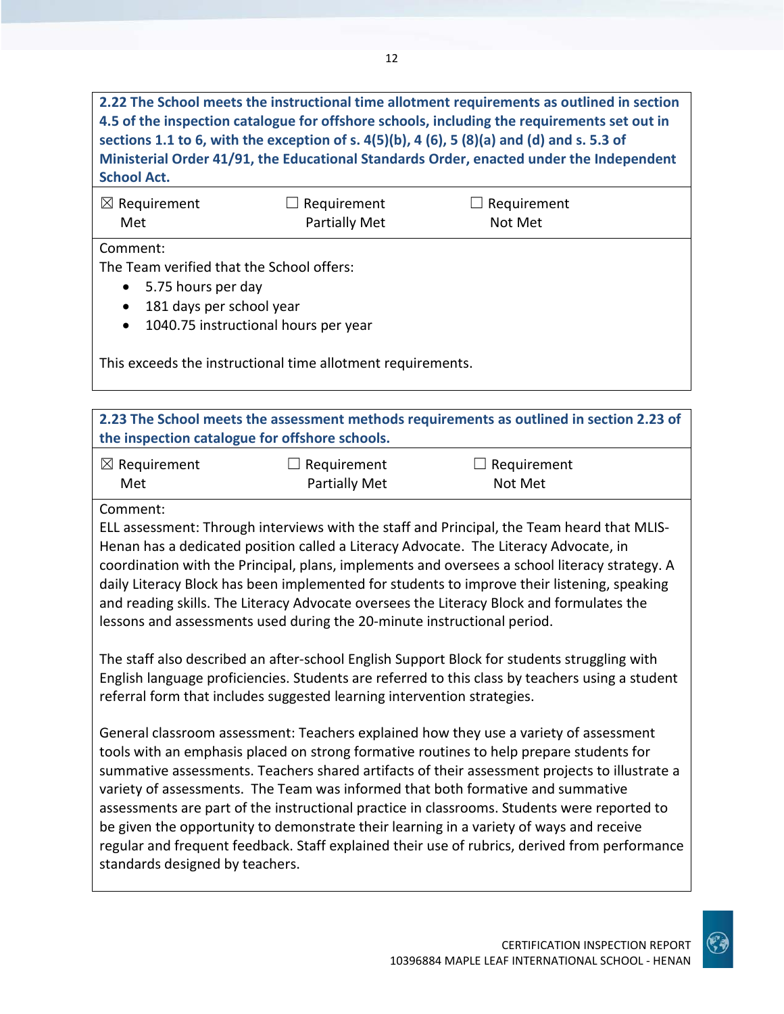**2.22 The School meets the instructional time allotment requirements as outlined in section 4.5 of the inspection catalogue for offshore schools, including the requirements set out in sections 1.1 to 6, with the exception of s. 4(5)(b), 4 (6), 5 (8)(a) and (d) and s. 5.3 of Ministerial Order 41/91, the Educational Standards Order, enacted under the Independent School Act.**

| $\boxtimes$ Requirement | $\Box$ Requirement | $\Box$ Requirement |  |
|-------------------------|--------------------|--------------------|--|
| Met                     | Partially Met      | Not Met            |  |
| Comment:                |                    |                    |  |

The Team verified that the School offers:

- 5.75 hours per day
- 181 days per school year
- 1040.75 instructional hours per year

| This exceeds the instructional time allotment requirements. |  |
|-------------------------------------------------------------|--|
|-------------------------------------------------------------|--|

|                                                                                                                                                                                                                                                                                                                                                                                                                                                                                                                                                                                                                                                                                                    | the inspection catalogue for offshore schools. | 2.23 The School meets the assessment methods requirements as outlined in section 2.23 of |  |
|----------------------------------------------------------------------------------------------------------------------------------------------------------------------------------------------------------------------------------------------------------------------------------------------------------------------------------------------------------------------------------------------------------------------------------------------------------------------------------------------------------------------------------------------------------------------------------------------------------------------------------------------------------------------------------------------------|------------------------------------------------|------------------------------------------------------------------------------------------|--|
| $\boxtimes$ Requirement<br>Met                                                                                                                                                                                                                                                                                                                                                                                                                                                                                                                                                                                                                                                                     | Requirement<br>Partially Met                   | Requirement<br>Not Met                                                                   |  |
| Comment:<br>ELL assessment: Through interviews with the staff and Principal, the Team heard that MLIS-<br>Henan has a dedicated position called a Literacy Advocate. The Literacy Advocate, in<br>coordination with the Principal, plans, implements and oversees a school literacy strategy. A<br>daily Literacy Block has been implemented for students to improve their listening, speaking<br>and reading skills. The Literacy Advocate oversees the Literacy Block and formulates the<br>lessons and assessments used during the 20-minute instructional period.                                                                                                                              |                                                |                                                                                          |  |
| The staff also described an after-school English Support Block for students struggling with<br>English language proficiencies. Students are referred to this class by teachers using a student<br>referral form that includes suggested learning intervention strategies.                                                                                                                                                                                                                                                                                                                                                                                                                          |                                                |                                                                                          |  |
| General classroom assessment: Teachers explained how they use a variety of assessment<br>tools with an emphasis placed on strong formative routines to help prepare students for<br>summative assessments. Teachers shared artifacts of their assessment projects to illustrate a<br>variety of assessments. The Team was informed that both formative and summative<br>assessments are part of the instructional practice in classrooms. Students were reported to<br>be given the opportunity to demonstrate their learning in a variety of ways and receive<br>regular and frequent feedback. Staff explained their use of rubrics, derived from performance<br>standards designed by teachers. |                                                |                                                                                          |  |

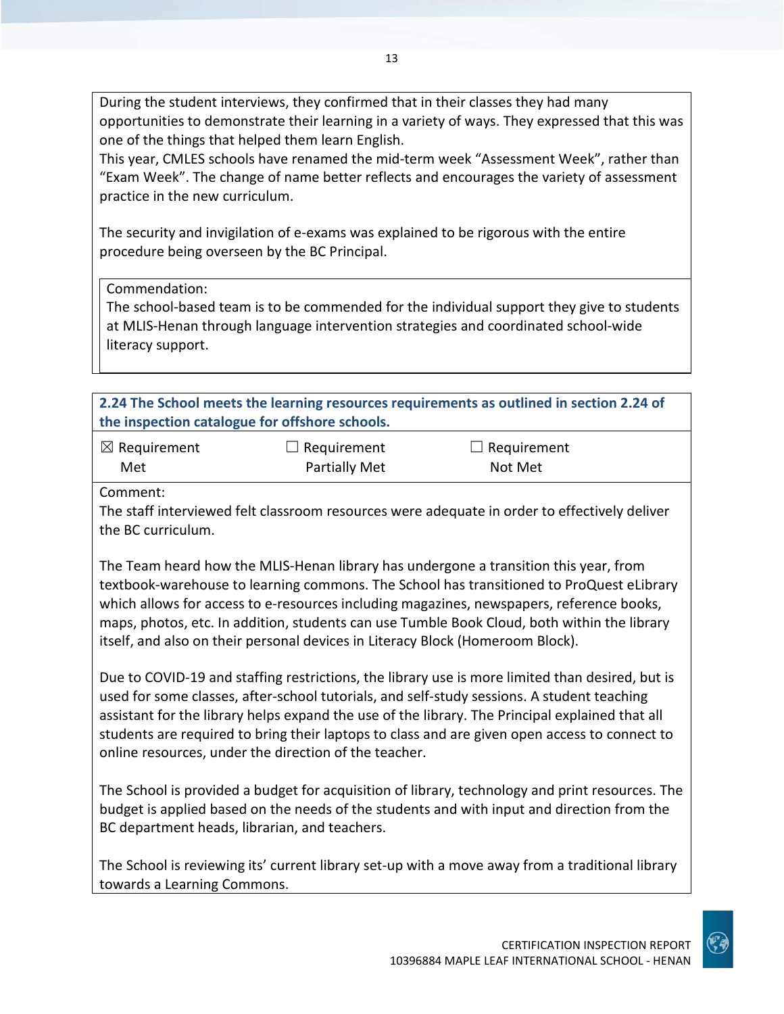During the student interviews, they confirmed that in their classes they had many opportunities to demonstrate their learning in a variety of ways. They expressed that this was one of the things that helped them learn English.

13

This year, CMLES schools have renamed the mid-term week "Assessment Week", rather than "Exam Week". The change of name better reflects and encourages the variety of assessment practice in the new curriculum.

The security and invigilation of e-exams was explained to be rigorous with the entire procedure being overseen by the BC Principal.

Commendation:

The school-based team is to be commended for the individual support they give to students at MLIS-Henan through language intervention strategies and coordinated school-wide literacy support.

**2.24 The School meets the learning resources requirements as outlined in section 2.24 of the inspection catalogue for offshore schools.**

| $\boxtimes$ Requirement | $\Box$ Requirement   | $\Box$ Requirement |
|-------------------------|----------------------|--------------------|
| Met                     | <b>Partially Met</b> | Not Met            |

Comment:

The staff interviewed felt classroom resources were adequate in order to effectively deliver the BC curriculum.

The Team heard how the MLIS-Henan library has undergone a transition this year, from textbook-warehouse to learning commons. The School has transitioned to ProQuest eLibrary which allows for access to e-resources including magazines, newspapers, reference books, maps, photos, etc. In addition, students can use Tumble Book Cloud, both within the library itself, and also on their personal devices in Literacy Block (Homeroom Block).

Due to COVID-19 and staffing restrictions, the library use is more limited than desired, but is used for some classes, after-school tutorials, and self-study sessions. A student teaching assistant for the library helps expand the use of the library. The Principal explained that all students are required to bring their laptops to class and are given open access to connect to online resources, under the direction of the teacher.

The School is provided a budget for acquisition of library, technology and print resources. The budget is applied based on the needs of the students and with input and direction from the BC department heads, librarian, and teachers.

The School is reviewing its' current library set-up with a move away from a traditional library towards a Learning Commons.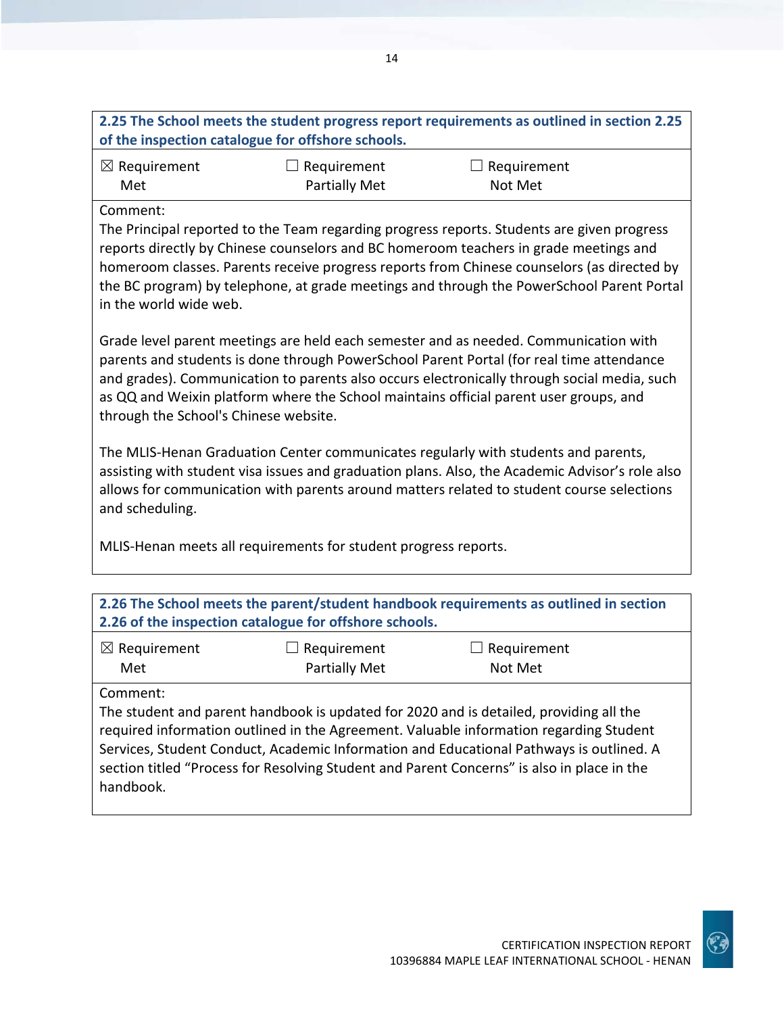| 2.25 The School meets the student progress report requirements as outlined in section 2.25 |
|--------------------------------------------------------------------------------------------|
| of the inspection catalogue for offshore schools.                                          |
|                                                                                            |

| $\boxtimes$ Requirement | $\Box$ Requirement | $\Box$ Requirement |
|-------------------------|--------------------|--------------------|
| Met                     | Partially Met      | Not Met            |

#### Comment:

The Principal reported to the Team regarding progress reports. Students are given progress reports directly by Chinese counselors and BC homeroom teachers in grade meetings and homeroom classes. Parents receive progress reports from Chinese counselors (as directed by the BC program) by telephone, at grade meetings and through the PowerSchool Parent Portal in the world wide web.

Grade level parent meetings are held each semester and as needed. Communication with parents and students is done through PowerSchool Parent Portal (for real time attendance and grades). Communication to parents also occurs electronically through social media, such as QQ and Weixin platform where the School maintains official parent user groups, and through the School's Chinese website.

The MLIS-Henan Graduation Center communicates regularly with students and parents, assisting with student visa issues and graduation plans. Also, the Academic Advisor's role also allows for communication with parents around matters related to student course selections and scheduling.

MLIS-Henan meets all requirements for student progress reports.

| 2.26 The School meets the parent/student handbook requirements as outlined in section<br>2.26 of the inspection catalogue for offshore schools. |               |                                                                                                                                                                                                                                                                                                                                                                           |  |
|-------------------------------------------------------------------------------------------------------------------------------------------------|---------------|---------------------------------------------------------------------------------------------------------------------------------------------------------------------------------------------------------------------------------------------------------------------------------------------------------------------------------------------------------------------------|--|
| $\boxtimes$ Requirement                                                                                                                         | Requirement   | $\Box$ Requirement                                                                                                                                                                                                                                                                                                                                                        |  |
| Met                                                                                                                                             | Partially Met | Not Met                                                                                                                                                                                                                                                                                                                                                                   |  |
| Comment:<br>handbook.                                                                                                                           |               | The student and parent handbook is updated for 2020 and is detailed, providing all the<br>required information outlined in the Agreement. Valuable information regarding Student<br>Services, Student Conduct, Academic Information and Educational Pathways is outlined. A<br>section titled "Process for Resolving Student and Parent Concerns" is also in place in the |  |

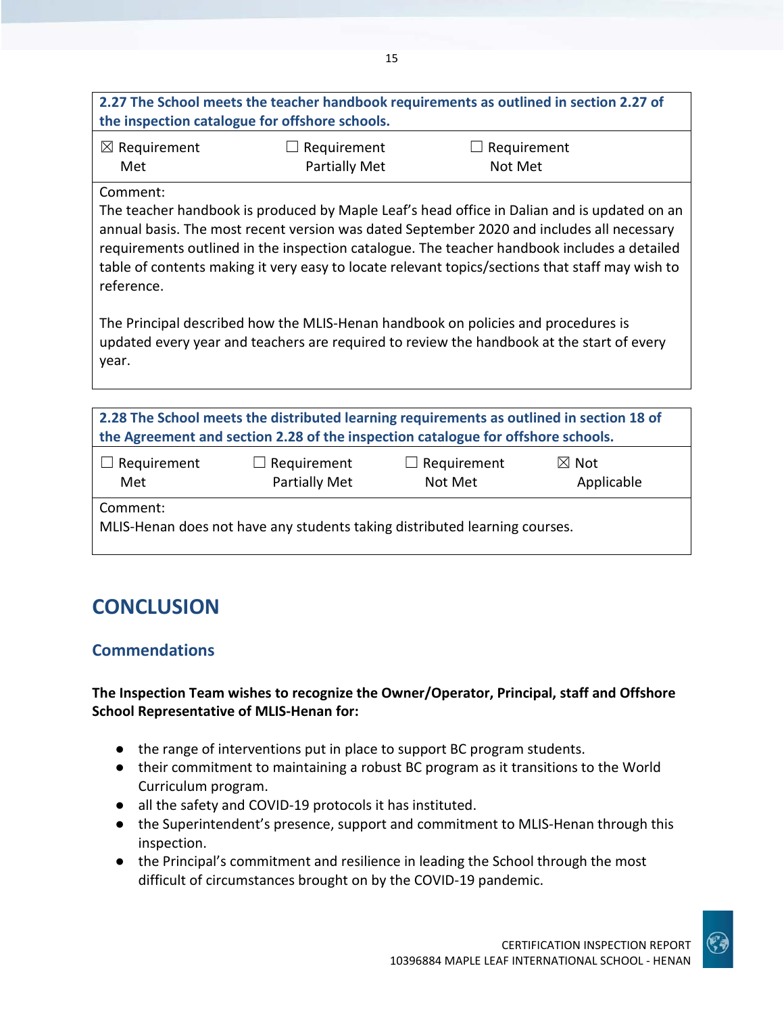| 2.27 The School meets the teacher handbook requirements as outlined in section 2.27 of |  |
|----------------------------------------------------------------------------------------|--|
| the inspection catalogue for offshore schools.                                         |  |

| $\boxtimes$ Requirement | $\Box$ Requirement   | $\Box$ Requirement |
|-------------------------|----------------------|--------------------|
| Met                     | <b>Partially Met</b> | Not Met            |

#### Comment:

The teacher handbook is produced by Maple Leaf's head office in Dalian and is updated on an annual basis. The most recent version was dated September 2020 and includes all necessary requirements outlined in the inspection catalogue. The teacher handbook includes a detailed table of contents making it very easy to locate relevant topics/sections that staff may wish to reference.

The Principal described how the MLIS-Henan handbook on policies and procedures is updated every year and teachers are required to review the handbook at the start of every year.

| 2.28 The School meets the distributed learning requirements as outlined in section 18 of<br>the Agreement and section 2.28 of the inspection catalogue for offshore schools. |                                     |                               |                               |
|------------------------------------------------------------------------------------------------------------------------------------------------------------------------------|-------------------------------------|-------------------------------|-------------------------------|
| $\Box$ Requirement<br>Met                                                                                                                                                    | $\Box$ Requirement<br>Partially Met | $\Box$ Requirement<br>Not Met | $\boxtimes$ Not<br>Applicable |
| Comment:<br>MLIS-Henan does not have any students taking distributed learning courses.                                                                                       |                                     |                               |                               |

# **CONCLUSION**

# **Commendations**

**The Inspection Team wishes to recognize the Owner/Operator, Principal, staff and Offshore School Representative of MLIS-Henan for:**

- the range of interventions put in place to support BC program students.
- their commitment to maintaining a robust BC program as it transitions to the World Curriculum program.
- all the safety and COVID-19 protocols it has instituted.
- the Superintendent's presence, support and commitment to MLIS-Henan through this inspection.
- the Principal's commitment and resilience in leading the School through the most difficult of circumstances brought on by the COVID-19 pandemic.